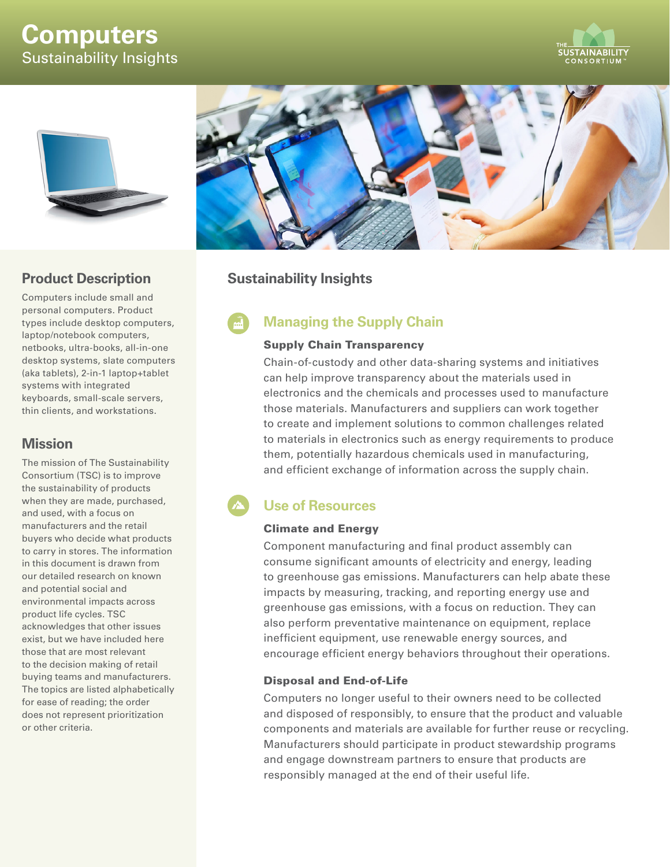# **Computers** Sustainability Insights





## **Product Description**

Computers include small and personal computers. Product types include desktop computers, laptop/notebook computers, netbooks, ultra-books, all-in-one desktop systems, slate computers (aka tablets), 2-in-1 laptop+tablet systems with integrated keyboards, small-scale servers, thin clients, and workstations.

## **Mission**

The mission of The Sustainability Consortium (TSC) is to improve the sustainability of products when they are made, purchased, and used, with a focus on manufacturers and the retail buyers who decide what products to carry in stores. The information in this document is drawn from our detailed research on known and potential social and environmental impacts across product life cycles. TSC acknowledges that other issues exist, but we have included here those that are most relevant to the decision making of retail buying teams and manufacturers. The topics are listed alphabetically for ease of reading; the order does not represent prioritization or other criteria.



## **Sustainability Insights**

## **Managing the Supply Chain**

#### Supply Chain Transparency

Chain-of-custody and other data-sharing systems and initiatives can help improve transparency about the materials used in electronics and the chemicals and processes used to manufacture those materials. Manufacturers and suppliers can work together to create and implement solutions to common challenges related to materials in electronics such as energy requirements to produce them, potentially hazardous chemicals used in manufacturing, and efficient exchange of information across the supply chain.

# **Use of Resources**

#### Climate and Energy

Component manufacturing and final product assembly can consume significant amounts of electricity and energy, leading to greenhouse gas emissions. Manufacturers can help abate these impacts by measuring, tracking, and reporting energy use and greenhouse gas emissions, with a focus on reduction. They can also perform preventative maintenance on equipment, replace inefficient equipment, use renewable energy sources, and encourage efficient energy behaviors throughout their operations.

#### Disposal and End-of-Life

Computers no longer useful to their owners need to be collected and disposed of responsibly, to ensure that the product and valuable components and materials are available for further reuse or recycling. Manufacturers should participate in product stewardship programs and engage downstream partners to ensure that products are responsibly managed at the end of their useful life.